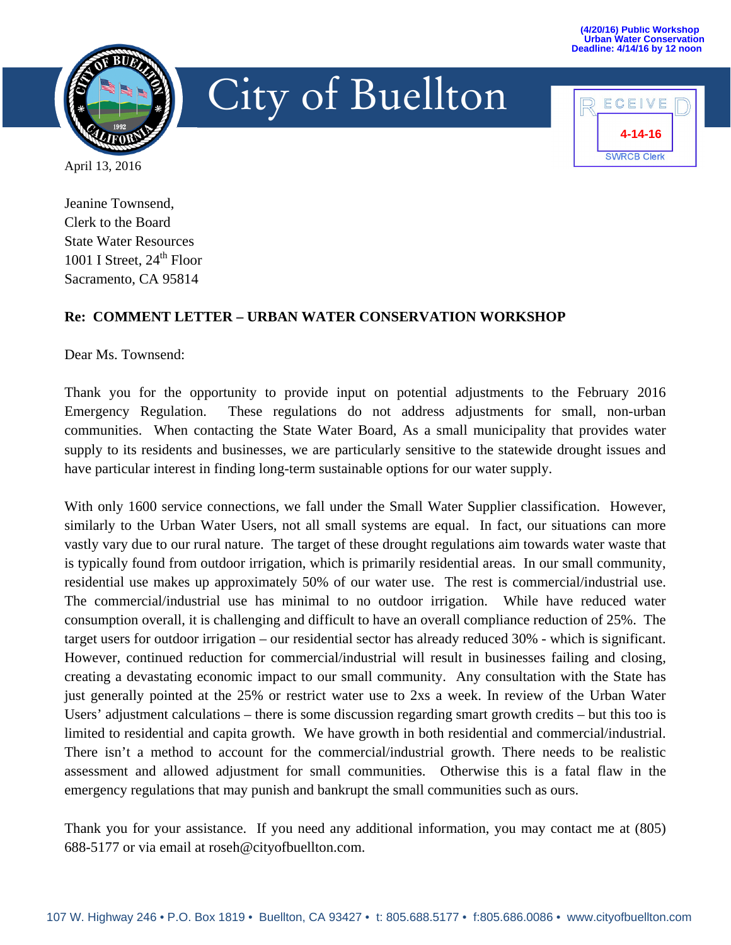

## City of Buellton



April 13, 2016

Jeanine Townsend, Clerk to the Board State Water Resources 1001 I Street,  $24<sup>th</sup>$  Floor Sacramento, CA 95814

## **Re: COMMENT LETTER – URBAN WATER CONSERVATION WORKSHOP**

Dear Ms. Townsend:

Thank you for the opportunity to provide input on potential adjustments to the February 2016 Emergency Regulation. These regulations do not address adjustments for small, non-urban communities. When contacting the State Water Board, As a small municipality that provides water supply to its residents and businesses, we are particularly sensitive to the statewide drought issues and have particular interest in finding long-term sustainable options for our water supply.

With only 1600 service connections, we fall under the Small Water Supplier classification. However, similarly to the Urban Water Users, not all small systems are equal. In fact, our situations can more vastly vary due to our rural nature. The target of these drought regulations aim towards water waste that is typically found from outdoor irrigation, which is primarily residential areas. In our small community, residential use makes up approximately 50% of our water use. The rest is commercial/industrial use. The commercial/industrial use has minimal to no outdoor irrigation. While have reduced water consumption overall, it is challenging and difficult to have an overall compliance reduction of 25%. The target users for outdoor irrigation – our residential sector has already reduced 30% - which is significant. However, continued reduction for commercial/industrial will result in businesses failing and closing, creating a devastating economic impact to our small community. Any consultation with the State has just generally pointed at the 25% or restrict water use to 2xs a week. In review of the Urban Water Users' adjustment calculations – there is some discussion regarding smart growth credits – but this too is limited to residential and capita growth. We have growth in both residential and commercial/industrial. There isn't a method to account for the commercial/industrial growth. There needs to be realistic assessment and allowed adjustment for small communities. Otherwise this is a fatal flaw in the emergency regulations that may punish and bankrupt the small communities such as ours.

Thank you for your assistance. If you need any additional information, you may contact me at (805) 688-5177 or via email at roseh@cityofbuellton.com.